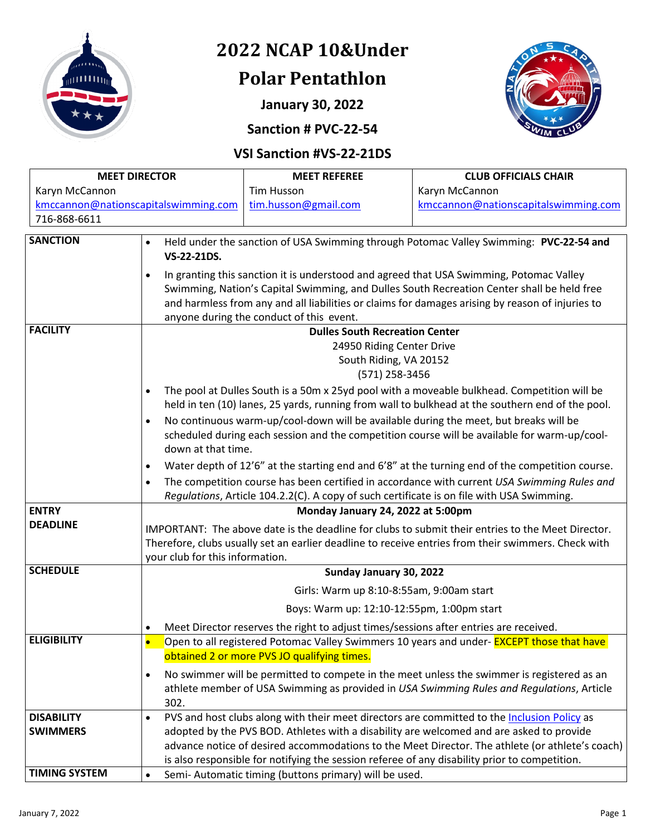

# **2022 NCAP 10&Under**

# **Polar Pentathlon**

**January 30, 2022**





### **VSI Sanction #VS-22-21DS**

| <b>MEET DIRECTOR</b>                 |                                                                                                                                                                                                                                                                                                                          | <b>MEET REFEREE</b>                                                                           | <b>CLUB OFFICIALS CHAIR</b>                                                                      |  |  |  |
|--------------------------------------|--------------------------------------------------------------------------------------------------------------------------------------------------------------------------------------------------------------------------------------------------------------------------------------------------------------------------|-----------------------------------------------------------------------------------------------|--------------------------------------------------------------------------------------------------|--|--|--|
| Karyn McCannon                       |                                                                                                                                                                                                                                                                                                                          | <b>Tim Husson</b>                                                                             | Karyn McCannon                                                                                   |  |  |  |
| kmccannon@nationscapitalswimming.com |                                                                                                                                                                                                                                                                                                                          | tim.husson@gmail.com                                                                          | kmccannon@nationscapitalswimming.com                                                             |  |  |  |
| 716-868-6611                         |                                                                                                                                                                                                                                                                                                                          |                                                                                               |                                                                                                  |  |  |  |
| <b>SANCTION</b>                      |                                                                                                                                                                                                                                                                                                                          |                                                                                               |                                                                                                  |  |  |  |
|                                      | Held under the sanction of USA Swimming through Potomac Valley Swimming: PVC-22-54 and<br>$\bullet$<br>VS-22-21DS.<br>In granting this sanction it is understood and agreed that USA Swimming, Potomac Valley<br>$\bullet$<br>Swimming, Nation's Capital Swimming, and Dulles South Recreation Center shall be held free |                                                                                               |                                                                                                  |  |  |  |
|                                      |                                                                                                                                                                                                                                                                                                                          |                                                                                               |                                                                                                  |  |  |  |
|                                      |                                                                                                                                                                                                                                                                                                                          |                                                                                               |                                                                                                  |  |  |  |
|                                      | and harmless from any and all liabilities or claims for damages arising by reason of injuries to                                                                                                                                                                                                                         |                                                                                               |                                                                                                  |  |  |  |
|                                      | anyone during the conduct of this event.                                                                                                                                                                                                                                                                                 |                                                                                               |                                                                                                  |  |  |  |
| <b>FACILITY</b>                      | <b>Dulles South Recreation Center</b>                                                                                                                                                                                                                                                                                    |                                                                                               |                                                                                                  |  |  |  |
|                                      |                                                                                                                                                                                                                                                                                                                          | 24950 Riding Center Drive                                                                     |                                                                                                  |  |  |  |
|                                      | South Riding, VA 20152<br>(571) 258-3456<br>The pool at Dulles South is a 50m x 25yd pool with a moveable bulkhead. Competition will be<br>$\bullet$                                                                                                                                                                     |                                                                                               |                                                                                                  |  |  |  |
|                                      |                                                                                                                                                                                                                                                                                                                          |                                                                                               |                                                                                                  |  |  |  |
|                                      |                                                                                                                                                                                                                                                                                                                          |                                                                                               |                                                                                                  |  |  |  |
|                                      |                                                                                                                                                                                                                                                                                                                          |                                                                                               | held in ten (10) lanes, 25 yards, running from wall to bulkhead at the southern end of the pool. |  |  |  |
|                                      | No continuous warm-up/cool-down will be available during the meet, but breaks will be<br>$\bullet$                                                                                                                                                                                                                       |                                                                                               |                                                                                                  |  |  |  |
|                                      | scheduled during each session and the competition course will be available for warm-up/cool-<br>down at that time.                                                                                                                                                                                                       |                                                                                               |                                                                                                  |  |  |  |
|                                      | Water depth of 12'6" at the starting end and 6'8" at the turning end of the competition course.<br>$\bullet$                                                                                                                                                                                                             |                                                                                               |                                                                                                  |  |  |  |
|                                      | The competition course has been certified in accordance with current USA Swimming Rules and<br>$\bullet$                                                                                                                                                                                                                 |                                                                                               |                                                                                                  |  |  |  |
|                                      | Regulations, Article 104.2.2(C). A copy of such certificate is on file with USA Swimming.                                                                                                                                                                                                                                |                                                                                               |                                                                                                  |  |  |  |
| <b>ENTRY</b>                         | Monday January 24, 2022 at 5:00pm                                                                                                                                                                                                                                                                                        |                                                                                               |                                                                                                  |  |  |  |
| <b>DEADLINE</b>                      | IMPORTANT: The above date is the deadline for clubs to submit their entries to the Meet Director.                                                                                                                                                                                                                        |                                                                                               |                                                                                                  |  |  |  |
|                                      | Therefore, clubs usually set an earlier deadline to receive entries from their swimmers. Check with                                                                                                                                                                                                                      |                                                                                               |                                                                                                  |  |  |  |
|                                      | your club for this information.                                                                                                                                                                                                                                                                                          |                                                                                               |                                                                                                  |  |  |  |
| <b>SCHEDULE</b>                      | Sunday January 30, 2022                                                                                                                                                                                                                                                                                                  |                                                                                               |                                                                                                  |  |  |  |
|                                      | Girls: Warm up 8:10-8:55am, 9:00am start<br>Boys: Warm up: 12:10-12:55pm, 1:00pm start                                                                                                                                                                                                                                   |                                                                                               |                                                                                                  |  |  |  |
|                                      |                                                                                                                                                                                                                                                                                                                          |                                                                                               |                                                                                                  |  |  |  |
|                                      | $\bullet$                                                                                                                                                                                                                                                                                                                | Meet Director reserves the right to adjust times/sessions after entries are received.         |                                                                                                  |  |  |  |
| <b>ELIGIBILITY</b>                   | $\bullet$                                                                                                                                                                                                                                                                                                                |                                                                                               | Open to all registered Potomac Valley Swimmers 10 years and under- <b>EXCEPT those that have</b> |  |  |  |
|                                      | obtained 2 or more PVS JO qualifying times.                                                                                                                                                                                                                                                                              |                                                                                               |                                                                                                  |  |  |  |
|                                      | $\bullet$                                                                                                                                                                                                                                                                                                                |                                                                                               | No swimmer will be permitted to compete in the meet unless the swimmer is registered as an       |  |  |  |
|                                      |                                                                                                                                                                                                                                                                                                                          |                                                                                               | athlete member of USA Swimming as provided in USA Swimming Rules and Regulations, Article        |  |  |  |
|                                      | 302.                                                                                                                                                                                                                                                                                                                     |                                                                                               |                                                                                                  |  |  |  |
| <b>DISABILITY</b>                    | PVS and host clubs along with their meet directors are committed to the Inclusion Policy as<br>$\bullet$                                                                                                                                                                                                                 |                                                                                               |                                                                                                  |  |  |  |
| <b>SWIMMERS</b>                      | adopted by the PVS BOD. Athletes with a disability are welcomed and are asked to provide<br>advance notice of desired accommodations to the Meet Director. The athlete (or athlete's coach)                                                                                                                              |                                                                                               |                                                                                                  |  |  |  |
|                                      |                                                                                                                                                                                                                                                                                                                          | is also responsible for notifying the session referee of any disability prior to competition. |                                                                                                  |  |  |  |
| <b>TIMING SYSTEM</b>                 | $\bullet$                                                                                                                                                                                                                                                                                                                | Semi- Automatic timing (buttons primary) will be used.                                        |                                                                                                  |  |  |  |
|                                      |                                                                                                                                                                                                                                                                                                                          |                                                                                               |                                                                                                  |  |  |  |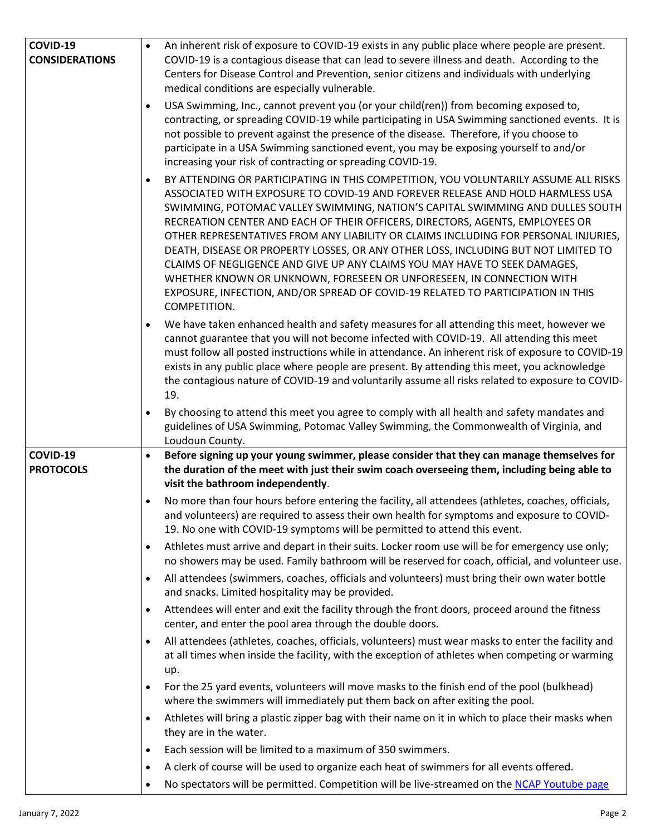| COVID-19              | An inherent risk of exposure to COVID-19 exists in any public place where people are present.                                                                                                                                                                                                                                                                                                                                                                                                                                                                                                                                                                                                                                                                                             |  |  |  |
|-----------------------|-------------------------------------------------------------------------------------------------------------------------------------------------------------------------------------------------------------------------------------------------------------------------------------------------------------------------------------------------------------------------------------------------------------------------------------------------------------------------------------------------------------------------------------------------------------------------------------------------------------------------------------------------------------------------------------------------------------------------------------------------------------------------------------------|--|--|--|
| <b>CONSIDERATIONS</b> | COVID-19 is a contagious disease that can lead to severe illness and death. According to the                                                                                                                                                                                                                                                                                                                                                                                                                                                                                                                                                                                                                                                                                              |  |  |  |
|                       | Centers for Disease Control and Prevention, senior citizens and individuals with underlying                                                                                                                                                                                                                                                                                                                                                                                                                                                                                                                                                                                                                                                                                               |  |  |  |
|                       | medical conditions are especially vulnerable.                                                                                                                                                                                                                                                                                                                                                                                                                                                                                                                                                                                                                                                                                                                                             |  |  |  |
|                       | USA Swimming, Inc., cannot prevent you (or your child(ren)) from becoming exposed to,<br>contracting, or spreading COVID-19 while participating in USA Swimming sanctioned events. It is<br>not possible to prevent against the presence of the disease. Therefore, if you choose to<br>participate in a USA Swimming sanctioned event, you may be exposing yourself to and/or<br>increasing your risk of contracting or spreading COVID-19.                                                                                                                                                                                                                                                                                                                                              |  |  |  |
|                       | BY ATTENDING OR PARTICIPATING IN THIS COMPETITION, YOU VOLUNTARILY ASSUME ALL RISKS<br>$\bullet$<br>ASSOCIATED WITH EXPOSURE TO COVID-19 AND FOREVER RELEASE AND HOLD HARMLESS USA<br>SWIMMING, POTOMAC VALLEY SWIMMING, NATION'S CAPITAL SWIMMING AND DULLES SOUTH<br>RECREATION CENTER AND EACH OF THEIR OFFICERS, DIRECTORS, AGENTS, EMPLOYEES OR<br>OTHER REPRESENTATIVES FROM ANY LIABILITY OR CLAIMS INCLUDING FOR PERSONAL INJURIES,<br>DEATH, DISEASE OR PROPERTY LOSSES, OR ANY OTHER LOSS, INCLUDING BUT NOT LIMITED TO<br>CLAIMS OF NEGLIGENCE AND GIVE UP ANY CLAIMS YOU MAY HAVE TO SEEK DAMAGES,<br>WHETHER KNOWN OR UNKNOWN, FORESEEN OR UNFORESEEN, IN CONNECTION WITH<br>EXPOSURE, INFECTION, AND/OR SPREAD OF COVID-19 RELATED TO PARTICIPATION IN THIS<br>COMPETITION. |  |  |  |
|                       | We have taken enhanced health and safety measures for all attending this meet, however we<br>$\bullet$<br>cannot guarantee that you will not become infected with COVID-19. All attending this meet<br>must follow all posted instructions while in attendance. An inherent risk of exposure to COVID-19<br>exists in any public place where people are present. By attending this meet, you acknowledge<br>the contagious nature of COVID-19 and voluntarily assume all risks related to exposure to COVID-<br>19.                                                                                                                                                                                                                                                                       |  |  |  |
|                       | By choosing to attend this meet you agree to comply with all health and safety mandates and<br>$\bullet$                                                                                                                                                                                                                                                                                                                                                                                                                                                                                                                                                                                                                                                                                  |  |  |  |
|                       | guidelines of USA Swimming, Potomac Valley Swimming, the Commonwealth of Virginia, and                                                                                                                                                                                                                                                                                                                                                                                                                                                                                                                                                                                                                                                                                                    |  |  |  |
|                       | Loudoun County.                                                                                                                                                                                                                                                                                                                                                                                                                                                                                                                                                                                                                                                                                                                                                                           |  |  |  |
| COVID-19              | Before signing up your young swimmer, please consider that they can manage themselves for<br>$\bullet$                                                                                                                                                                                                                                                                                                                                                                                                                                                                                                                                                                                                                                                                                    |  |  |  |
| <b>PROTOCOLS</b>      | the duration of the meet with just their swim coach overseeing them, including being able to                                                                                                                                                                                                                                                                                                                                                                                                                                                                                                                                                                                                                                                                                              |  |  |  |
|                       | visit the bathroom independently.                                                                                                                                                                                                                                                                                                                                                                                                                                                                                                                                                                                                                                                                                                                                                         |  |  |  |
|                       | No more than four hours before entering the facility, all attendees (athletes, coaches, officials,<br>$\bullet$<br>and volunteers) are required to assess their own health for symptoms and exposure to COVID-<br>19. No one with COVID-19 symptoms will be permitted to attend this event.                                                                                                                                                                                                                                                                                                                                                                                                                                                                                               |  |  |  |
|                       | Athletes must arrive and depart in their suits. Locker room use will be for emergency use only;<br>$\bullet$<br>no showers may be used. Family bathroom will be reserved for coach, official, and volunteer use.                                                                                                                                                                                                                                                                                                                                                                                                                                                                                                                                                                          |  |  |  |
|                       | All attendees (swimmers, coaches, officials and volunteers) must bring their own water bottle<br>$\bullet$<br>and snacks. Limited hospitality may be provided.                                                                                                                                                                                                                                                                                                                                                                                                                                                                                                                                                                                                                            |  |  |  |
|                       | Attendees will enter and exit the facility through the front doors, proceed around the fitness<br>$\bullet$<br>center, and enter the pool area through the double doors.                                                                                                                                                                                                                                                                                                                                                                                                                                                                                                                                                                                                                  |  |  |  |
|                       | All attendees (athletes, coaches, officials, volunteers) must wear masks to enter the facility and<br>$\bullet$<br>at all times when inside the facility, with the exception of athletes when competing or warming<br>up.                                                                                                                                                                                                                                                                                                                                                                                                                                                                                                                                                                 |  |  |  |
|                       | For the 25 yard events, volunteers will move masks to the finish end of the pool (bulkhead)<br>$\bullet$<br>where the swimmers will immediately put them back on after exiting the pool.                                                                                                                                                                                                                                                                                                                                                                                                                                                                                                                                                                                                  |  |  |  |
|                       | Athletes will bring a plastic zipper bag with their name on it in which to place their masks when<br>$\bullet$<br>they are in the water.                                                                                                                                                                                                                                                                                                                                                                                                                                                                                                                                                                                                                                                  |  |  |  |
|                       | Each session will be limited to a maximum of 350 swimmers.<br>$\bullet$                                                                                                                                                                                                                                                                                                                                                                                                                                                                                                                                                                                                                                                                                                                   |  |  |  |
|                       | A clerk of course will be used to organize each heat of swimmers for all events offered.<br>$\bullet$                                                                                                                                                                                                                                                                                                                                                                                                                                                                                                                                                                                                                                                                                     |  |  |  |
|                       | No spectators will be permitted. Competition will be live-streamed on the NCAP Youtube page<br>$\bullet$                                                                                                                                                                                                                                                                                                                                                                                                                                                                                                                                                                                                                                                                                  |  |  |  |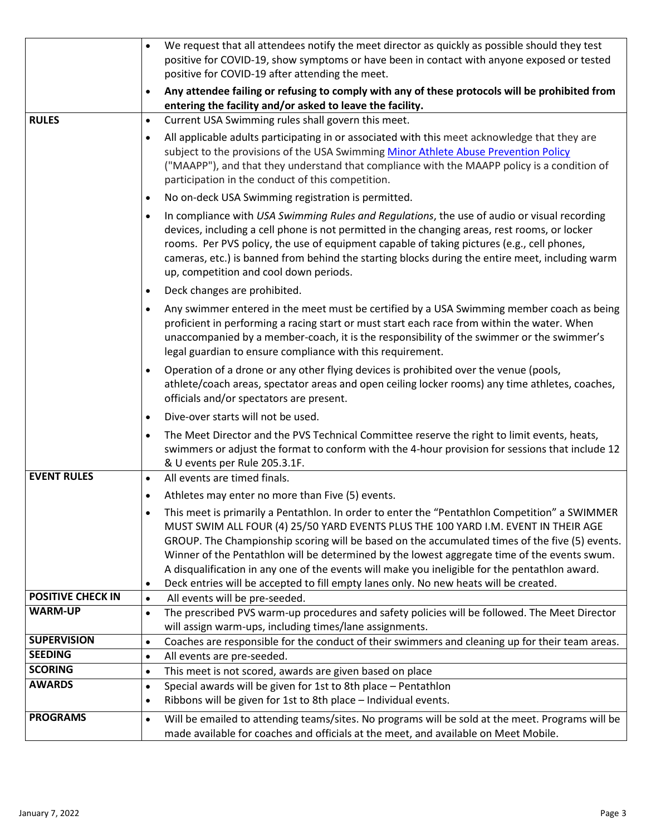|                          | We request that all attendees notify the meet director as quickly as possible should they test<br>positive for COVID-19, show symptoms or have been in contact with anyone exposed or tested<br>positive for COVID-19 after attending the meet.<br>Any attendee failing or refusing to comply with any of these protocols will be prohibited from                                                                                                                                                                                                                                                          |  |  |
|--------------------------|------------------------------------------------------------------------------------------------------------------------------------------------------------------------------------------------------------------------------------------------------------------------------------------------------------------------------------------------------------------------------------------------------------------------------------------------------------------------------------------------------------------------------------------------------------------------------------------------------------|--|--|
|                          | $\bullet$<br>entering the facility and/or asked to leave the facility.                                                                                                                                                                                                                                                                                                                                                                                                                                                                                                                                     |  |  |
| <b>RULES</b>             | Current USA Swimming rules shall govern this meet.<br>$\bullet$                                                                                                                                                                                                                                                                                                                                                                                                                                                                                                                                            |  |  |
|                          | All applicable adults participating in or associated with this meet acknowledge that they are<br>subject to the provisions of the USA Swimming Minor Athlete Abuse Prevention Policy<br>("MAAPP"), and that they understand that compliance with the MAAPP policy is a condition of<br>participation in the conduct of this competition.                                                                                                                                                                                                                                                                   |  |  |
|                          | No on-deck USA Swimming registration is permitted.<br>$\bullet$                                                                                                                                                                                                                                                                                                                                                                                                                                                                                                                                            |  |  |
|                          | In compliance with USA Swimming Rules and Regulations, the use of audio or visual recording<br>$\bullet$<br>devices, including a cell phone is not permitted in the changing areas, rest rooms, or locker<br>rooms. Per PVS policy, the use of equipment capable of taking pictures (e.g., cell phones,<br>cameras, etc.) is banned from behind the starting blocks during the entire meet, including warm<br>up, competition and cool down periods.                                                                                                                                                       |  |  |
|                          | Deck changes are prohibited.<br>$\bullet$                                                                                                                                                                                                                                                                                                                                                                                                                                                                                                                                                                  |  |  |
|                          | Any swimmer entered in the meet must be certified by a USA Swimming member coach as being<br>$\bullet$<br>proficient in performing a racing start or must start each race from within the water. When<br>unaccompanied by a member-coach, it is the responsibility of the swimmer or the swimmer's<br>legal guardian to ensure compliance with this requirement.                                                                                                                                                                                                                                           |  |  |
|                          | Operation of a drone or any other flying devices is prohibited over the venue (pools,<br>$\bullet$<br>athlete/coach areas, spectator areas and open ceiling locker rooms) any time athletes, coaches,<br>officials and/or spectators are present.                                                                                                                                                                                                                                                                                                                                                          |  |  |
|                          | Dive-over starts will not be used.<br>$\bullet$                                                                                                                                                                                                                                                                                                                                                                                                                                                                                                                                                            |  |  |
|                          | The Meet Director and the PVS Technical Committee reserve the right to limit events, heats,<br>$\bullet$<br>swimmers or adjust the format to conform with the 4-hour provision for sessions that include 12<br>& U events per Rule 205.3.1F.                                                                                                                                                                                                                                                                                                                                                               |  |  |
| <b>EVENT RULES</b>       | All events are timed finals.<br>$\bullet$                                                                                                                                                                                                                                                                                                                                                                                                                                                                                                                                                                  |  |  |
|                          | Athletes may enter no more than Five (5) events.<br>$\bullet$                                                                                                                                                                                                                                                                                                                                                                                                                                                                                                                                              |  |  |
|                          | This meet is primarily a Pentathlon. In order to enter the "Pentathlon Competition" a SWIMMER<br>$\bullet$<br>MUST SWIM ALL FOUR (4) 25/50 YARD EVENTS PLUS THE 100 YARD I.M. EVENT IN THEIR AGE<br>GROUP. The Championship scoring will be based on the accumulated times of the five (5) events.<br>Winner of the Pentathlon will be determined by the lowest aggregate time of the events swum.<br>A disqualification in any one of the events will make you ineligible for the pentathlon award.<br>Deck entries will be accepted to fill empty lanes only. No new heats will be created.<br>$\bullet$ |  |  |
| <b>POSITIVE CHECK IN</b> | All events will be pre-seeded.<br>$\bullet$                                                                                                                                                                                                                                                                                                                                                                                                                                                                                                                                                                |  |  |
| <b>WARM-UP</b>           | The prescribed PVS warm-up procedures and safety policies will be followed. The Meet Director<br>$\bullet$<br>will assign warm-ups, including times/lane assignments.                                                                                                                                                                                                                                                                                                                                                                                                                                      |  |  |
| <b>SUPERVISION</b>       | Coaches are responsible for the conduct of their swimmers and cleaning up for their team areas.<br>$\bullet$                                                                                                                                                                                                                                                                                                                                                                                                                                                                                               |  |  |
| <b>SEEDING</b>           | All events are pre-seeded.<br>$\bullet$                                                                                                                                                                                                                                                                                                                                                                                                                                                                                                                                                                    |  |  |
| <b>SCORING</b>           | This meet is not scored, awards are given based on place<br>$\bullet$                                                                                                                                                                                                                                                                                                                                                                                                                                                                                                                                      |  |  |
| <b>AWARDS</b>            | Special awards will be given for 1st to 8th place - Pentathlon<br>$\bullet$<br>Ribbons will be given for 1st to 8th place - Individual events.<br>$\bullet$                                                                                                                                                                                                                                                                                                                                                                                                                                                |  |  |
| <b>PROGRAMS</b>          | Will be emailed to attending teams/sites. No programs will be sold at the meet. Programs will be<br>$\bullet$<br>made available for coaches and officials at the meet, and available on Meet Mobile.                                                                                                                                                                                                                                                                                                                                                                                                       |  |  |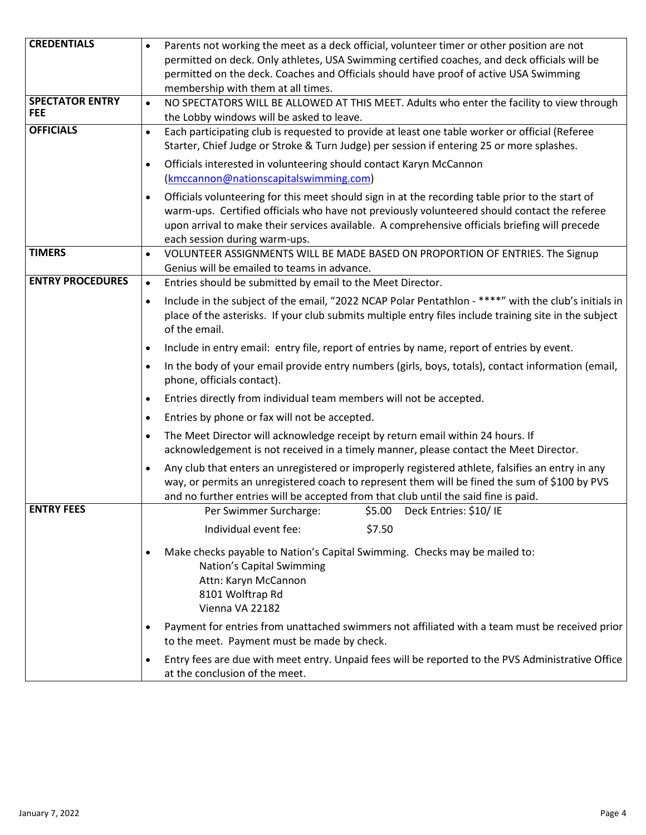| <b>CREDENTIALS</b>      | Parents not working the meet as a deck official, volunteer timer or other position are not                                                                                                                                        |  |  |  |
|-------------------------|-----------------------------------------------------------------------------------------------------------------------------------------------------------------------------------------------------------------------------------|--|--|--|
|                         | permitted on deck. Only athletes, USA Swimming certified coaches, and deck officials will be                                                                                                                                      |  |  |  |
|                         | permitted on the deck. Coaches and Officials should have proof of active USA Swimming                                                                                                                                             |  |  |  |
|                         | membership with them at all times.                                                                                                                                                                                                |  |  |  |
| <b>SPECTATOR ENTRY</b>  | NO SPECTATORS WILL BE ALLOWED AT THIS MEET. Adults who enter the facility to view through                                                                                                                                         |  |  |  |
| <b>FEE</b>              | the Lobby windows will be asked to leave.                                                                                                                                                                                         |  |  |  |
| <b>OFFICIALS</b>        | Each participating club is requested to provide at least one table worker or official (Referee<br>$\bullet$<br>Starter, Chief Judge or Stroke & Turn Judge) per session if entering 25 or more splashes.                          |  |  |  |
|                         | Officials interested in volunteering should contact Karyn McCannon                                                                                                                                                                |  |  |  |
|                         | (kmccannon@nationscapitalswimming.com)                                                                                                                                                                                            |  |  |  |
|                         | Officials volunteering for this meet should sign in at the recording table prior to the start of                                                                                                                                  |  |  |  |
|                         | warm-ups. Certified officials who have not previously volunteered should contact the referee                                                                                                                                      |  |  |  |
|                         | upon arrival to make their services available. A comprehensive officials briefing will precede                                                                                                                                    |  |  |  |
|                         | each session during warm-ups.                                                                                                                                                                                                     |  |  |  |
| <b>TIMERS</b>           | VOLUNTEER ASSIGNMENTS WILL BE MADE BASED ON PROPORTION OF ENTRIES. The Signup<br>$\bullet$                                                                                                                                        |  |  |  |
|                         | Genius will be emailed to teams in advance.                                                                                                                                                                                       |  |  |  |
| <b>ENTRY PROCEDURES</b> | Entries should be submitted by email to the Meet Director.<br>$\bullet$                                                                                                                                                           |  |  |  |
|                         | Include in the subject of the email, "2022 NCAP Polar Pentathlon - ****" with the club's initials in<br>$\bullet$                                                                                                                 |  |  |  |
|                         | place of the asterisks. If your club submits multiple entry files include training site in the subject                                                                                                                            |  |  |  |
|                         | of the email.                                                                                                                                                                                                                     |  |  |  |
|                         | Include in entry email: entry file, report of entries by name, report of entries by event.<br>$\bullet$                                                                                                                           |  |  |  |
|                         | In the body of your email provide entry numbers (girls, boys, totals), contact information (email,<br>$\bullet$<br>phone, officials contact).<br>Entries directly from individual team members will not be accepted.<br>$\bullet$ |  |  |  |
|                         |                                                                                                                                                                                                                                   |  |  |  |
|                         | Entries by phone or fax will not be accepted.<br>$\bullet$                                                                                                                                                                        |  |  |  |
|                         | The Meet Director will acknowledge receipt by return email within 24 hours. If<br>$\bullet$                                                                                                                                       |  |  |  |
|                         | acknowledgement is not received in a timely manner, please contact the Meet Director.                                                                                                                                             |  |  |  |
|                         | Any club that enters an unregistered or improperly registered athlete, falsifies an entry in any<br>$\bullet$                                                                                                                     |  |  |  |
|                         | way, or permits an unregistered coach to represent them will be fined the sum of \$100 by PVS                                                                                                                                     |  |  |  |
|                         | and no further entries will be accepted from that club until the said fine is paid.                                                                                                                                               |  |  |  |
| <b>ENTRY FEES</b>       | Per Swimmer Surcharge: \$5.00 Deck Entries: \$10/IE                                                                                                                                                                               |  |  |  |
|                         | Individual event fee:<br>\$7.50                                                                                                                                                                                                   |  |  |  |
|                         | Make checks payable to Nation's Capital Swimming. Checks may be mailed to:<br>$\bullet$                                                                                                                                           |  |  |  |
|                         | Nation's Capital Swimming                                                                                                                                                                                                         |  |  |  |
|                         | Attn: Karyn McCannon                                                                                                                                                                                                              |  |  |  |
|                         | 8101 Wolftrap Rd                                                                                                                                                                                                                  |  |  |  |
|                         | Vienna VA 22182                                                                                                                                                                                                                   |  |  |  |
|                         | Payment for entries from unattached swimmers not affiliated with a team must be received prior<br>$\bullet$                                                                                                                       |  |  |  |
|                         | to the meet. Payment must be made by check.                                                                                                                                                                                       |  |  |  |
|                         | Entry fees are due with meet entry. Unpaid fees will be reported to the PVS Administrative Office<br>$\bullet$<br>at the conclusion of the meet.                                                                                  |  |  |  |
|                         |                                                                                                                                                                                                                                   |  |  |  |